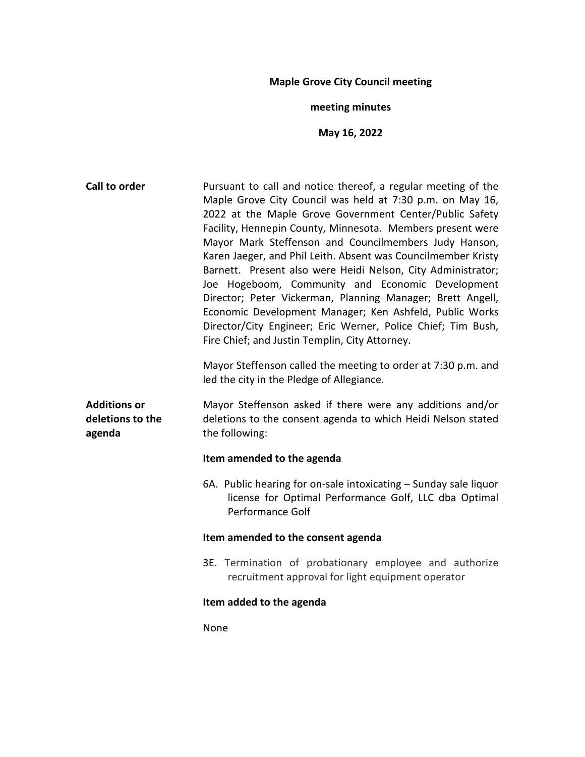# **Maple Grove City Council meeting**

# **meeting minutes**

# **May 16, 2022**

| Call to order                                     | Pursuant to call and notice thereof, a regular meeting of the<br>Maple Grove City Council was held at 7:30 p.m. on May 16,<br>2022 at the Maple Grove Government Center/Public Safety<br>Facility, Hennepin County, Minnesota. Members present were<br>Mayor Mark Steffenson and Councilmembers Judy Hanson,<br>Karen Jaeger, and Phil Leith. Absent was Councilmember Kristy<br>Barnett. Present also were Heidi Nelson, City Administrator;<br>Joe Hogeboom, Community and Economic Development<br>Director; Peter Vickerman, Planning Manager; Brett Angell,<br>Economic Development Manager; Ken Ashfeld, Public Works<br>Director/City Engineer; Eric Werner, Police Chief; Tim Bush,<br>Fire Chief; and Justin Templin, City Attorney.<br>Mayor Steffenson called the meeting to order at 7:30 p.m. and<br>led the city in the Pledge of Allegiance. |  |  |  |
|---------------------------------------------------|------------------------------------------------------------------------------------------------------------------------------------------------------------------------------------------------------------------------------------------------------------------------------------------------------------------------------------------------------------------------------------------------------------------------------------------------------------------------------------------------------------------------------------------------------------------------------------------------------------------------------------------------------------------------------------------------------------------------------------------------------------------------------------------------------------------------------------------------------------|--|--|--|
| <b>Additions or</b><br>deletions to the<br>agenda | Mayor Steffenson asked if there were any additions and/or<br>deletions to the consent agenda to which Heidi Nelson stated<br>the following:                                                                                                                                                                                                                                                                                                                                                                                                                                                                                                                                                                                                                                                                                                                |  |  |  |
|                                                   | Item amended to the agenda                                                                                                                                                                                                                                                                                                                                                                                                                                                                                                                                                                                                                                                                                                                                                                                                                                 |  |  |  |
|                                                   | 6A. Public hearing for on-sale intoxicating – Sunday sale liquor<br>license for Optimal Performance Golf, LLC dba Optimal<br>Performance Golf                                                                                                                                                                                                                                                                                                                                                                                                                                                                                                                                                                                                                                                                                                              |  |  |  |
|                                                   | Item amended to the consent agenda                                                                                                                                                                                                                                                                                                                                                                                                                                                                                                                                                                                                                                                                                                                                                                                                                         |  |  |  |
|                                                   | 3E. Termination of probationary employee and authorize<br>recruitment approval for light equipment operator                                                                                                                                                                                                                                                                                                                                                                                                                                                                                                                                                                                                                                                                                                                                                |  |  |  |
|                                                   | Item added to the agenda                                                                                                                                                                                                                                                                                                                                                                                                                                                                                                                                                                                                                                                                                                                                                                                                                                   |  |  |  |
|                                                   | None                                                                                                                                                                                                                                                                                                                                                                                                                                                                                                                                                                                                                                                                                                                                                                                                                                                       |  |  |  |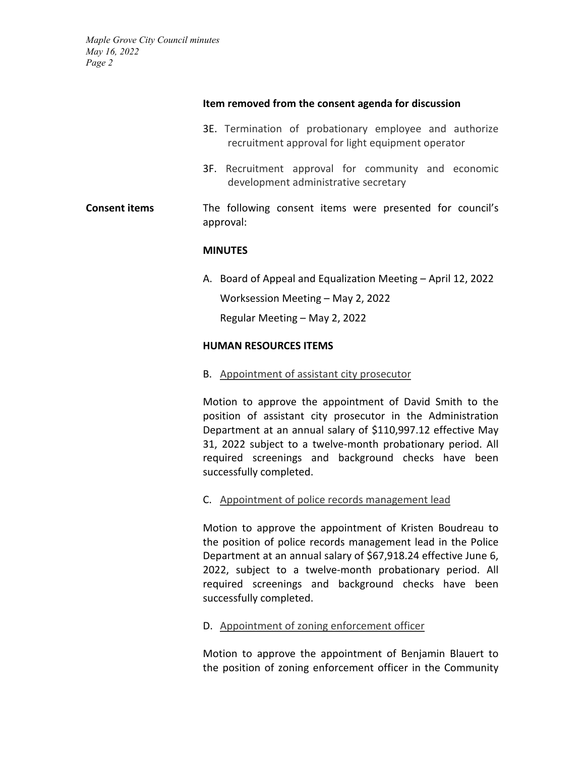#### **Item removed from the consent agenda for discussion**

- 3E. Termination of probationary employee and authorize recruitment approval for light equipment operator
- 3F. Recruitment approval for community and economic development administrative secretary

# **Consent items** The following consent items were presented for council's approval:

#### **MINUTES**

A. Board of Appeal and Equalization Meeting – April 12, 2022 Worksession Meeting – May 2, 2022 Regular Meeting – May 2, 2022

#### **HUMAN RESOURCES ITEMS**

B. Appointment of assistant city prosecutor

Motion to approve the appointment of David Smith to the position of assistant city prosecutor in the Administration Department at an annual salary of \$110,997.12 effective May 31, 2022 subject to a twelve-month probationary period. All required screenings and background checks have been successfully completed.

# C. Appointment of police records management lead

Motion to approve the appointment of Kristen Boudreau to the position of police records management lead in the Police Department at an annual salary of \$67,918.24 effective June 6, 2022, subject to a twelve-month probationary period. All required screenings and background checks have been successfully completed.

# D. Appointment of zoning enforcement officer

Motion to approve the appointment of Benjamin Blauert to the position of zoning enforcement officer in the Community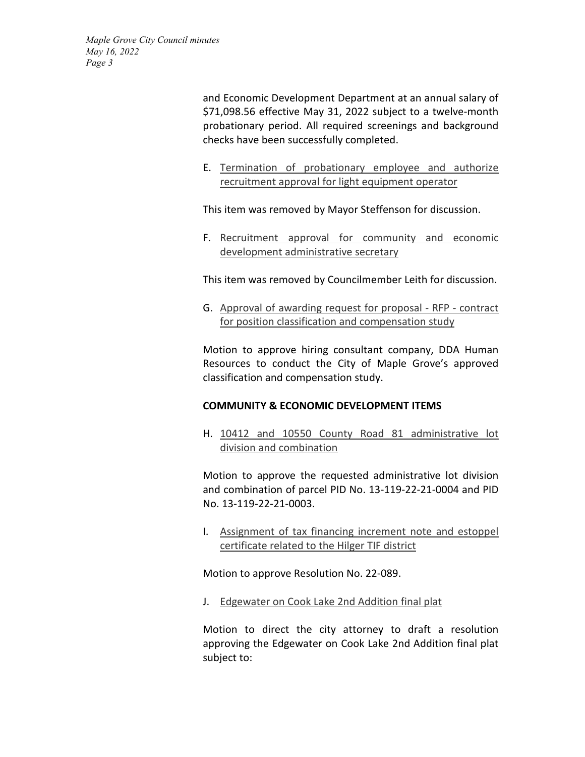and Economic Development Department at an annual salary of \$71,098.56 effective May 31, 2022 subject to a twelve-month probationary period. All required screenings and background checks have been successfully completed.

E. Termination of probationary employee and authorize recruitment approval for light equipment operator

This item was removed by Mayor Steffenson for discussion.

F. Recruitment approval for community and economic development administrative secretary

This item was removed by Councilmember Leith for discussion.

G. Approval of awarding request for proposal - RFP - contract for position classification and compensation study

Motion to approve hiring consultant company, DDA Human Resources to conduct the City of Maple Grove's approved classification and compensation study.

# **COMMUNITY & ECONOMIC DEVELOPMENT ITEMS**

H. 10412 and 10550 County Road 81 administrative lot division and combination

Motion to approve the requested administrative lot division and combination of parcel PID No. 13-119-22-21-0004 and PID No. 13-119-22-21-0003.

I. Assignment of tax financing increment note and estoppel certificate related to the Hilger TIF district

Motion to approve Resolution No. 22-089.

J. Edgewater on Cook Lake 2nd Addition final plat

Motion to direct the city attorney to draft a resolution approving the Edgewater on Cook Lake 2nd Addition final plat subject to: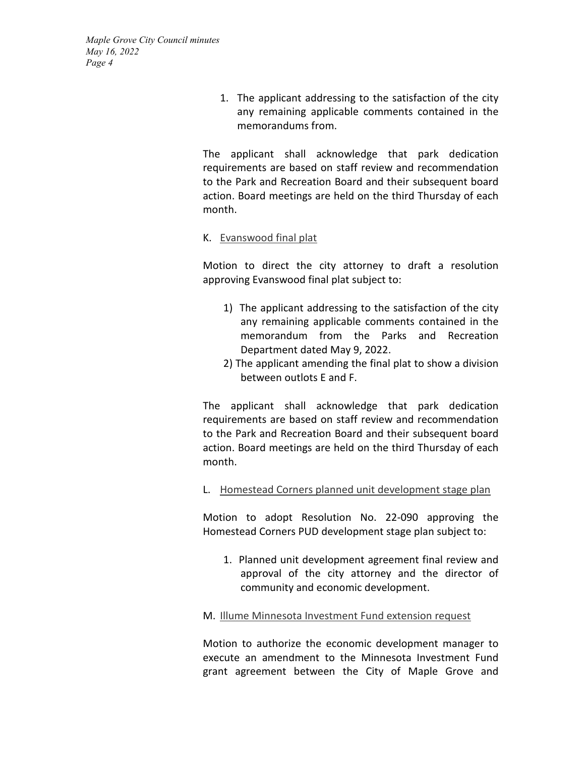> 1. The applicant addressing to the satisfaction of the city any remaining applicable comments contained in the memorandums from.

The applicant shall acknowledge that park dedication requirements are based on staff review and recommendation to the Park and Recreation Board and their subsequent board action. Board meetings are held on the third Thursday of each month.

#### K. Evanswood final plat

Motion to direct the city attorney to draft a resolution approving Evanswood final plat subject to:

- 1) The applicant addressing to the satisfaction of the city any remaining applicable comments contained in the memorandum from the Parks and Recreation Department dated May 9, 2022.
- 2) The applicant amending the final plat to show a division between outlots E and F.

The applicant shall acknowledge that park dedication requirements are based on staff review and recommendation to the Park and Recreation Board and their subsequent board action. Board meetings are held on the third Thursday of each month.

#### L. Homestead Corners planned unit development stage plan

Motion to adopt Resolution No. 22-090 approving the Homestead Corners PUD development stage plan subject to:

1. Planned unit development agreement final review and approval of the city attorney and the director of community and economic development.

# M. Illume Minnesota Investment Fund extension request

Motion to authorize the economic development manager to execute an amendment to the Minnesota Investment Fund grant agreement between the City of Maple Grove and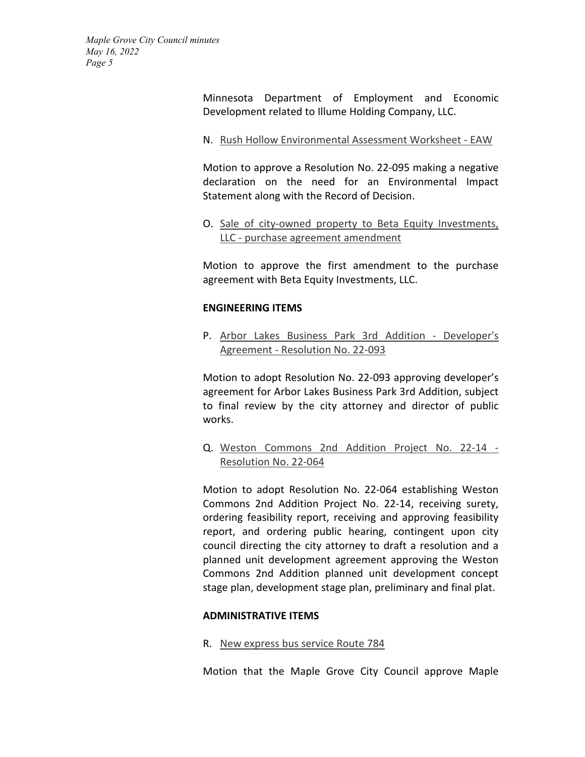> Minnesota Department of Employment and Economic Development related to Illume Holding Company, LLC.

N. Rush Hollow Environmental Assessment Worksheet - EAW

Motion to approve a Resolution No. 22-095 making a negative declaration on the need for an Environmental Impact Statement along with the Record of Decision.

O. Sale of city-owned property to Beta Equity Investments, LLC - purchase agreement amendment

Motion to approve the first amendment to the purchase agreement with Beta Equity Investments, LLC.

# **ENGINEERING ITEMS**

P. Arbor Lakes Business Park 3rd Addition - Developer's Agreement - Resolution No. 22-093

Motion to adopt Resolution No. 22-093 approving developer's agreement for Arbor Lakes Business Park 3rd Addition, subject to final review by the city attorney and director of public works.

Q. Weston Commons 2nd Addition Project No. 22-14 - Resolution No. 22-064

Motion to adopt Resolution No. 22-064 establishing Weston Commons 2nd Addition Project No. 22-14, receiving surety, ordering feasibility report, receiving and approving feasibility report, and ordering public hearing, contingent upon city council directing the city attorney to draft a resolution and a planned unit development agreement approving the Weston Commons 2nd Addition planned unit development concept stage plan, development stage plan, preliminary and final plat.

#### **ADMINISTRATIVE ITEMS**

R. New express bus service Route 784

Motion that the Maple Grove City Council approve Maple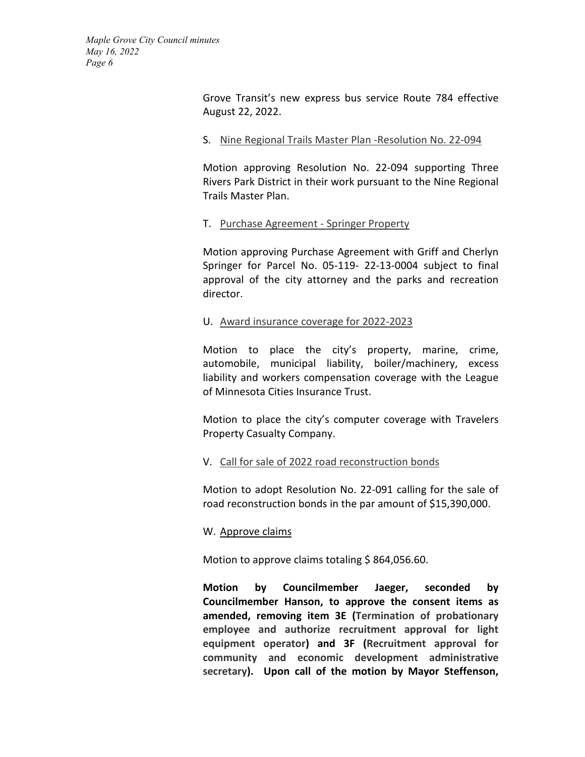> Grove Transit's new express bus service Route 784 effective August 22, 2022.

### S. Nine Regional Trails Master Plan -Resolution No. 22-094

Motion approving Resolution No. 22-094 supporting Three Rivers Park District in their work pursuant to the Nine Regional Trails Master Plan.

# T. Purchase Agreement - Springer Property

Motion approving Purchase Agreement with Griff and Cherlyn Springer for Parcel No. 05-119- 22-13-0004 subject to final approval of the city attorney and the parks and recreation director.

#### U. Award insurance coverage for 2022-2023

Motion to place the city's property, marine, crime, automobile, municipal liability, boiler/machinery, excess liability and workers compensation coverage with the League of Minnesota Cities Insurance Trust.

Motion to place the city's computer coverage with Travelers Property Casualty Company.

#### V. Call for sale of 2022 road reconstruction bonds

Motion to adopt Resolution No. 22-091 calling for the sale of road reconstruction bonds in the par amount of \$15,390,000.

#### W. Approve claims

Motion to approve claims totaling \$864,056.60.

**Motion by Councilmember Jaeger, seconded by Councilmember Hanson, to approve the consent items as amended, removing item 3E (Termination of probationary employee and authorize recruitment approval for light equipment operator) and 3F (Recruitment approval for community and economic development administrative secretary). Upon call of the motion by Mayor Steffenson,**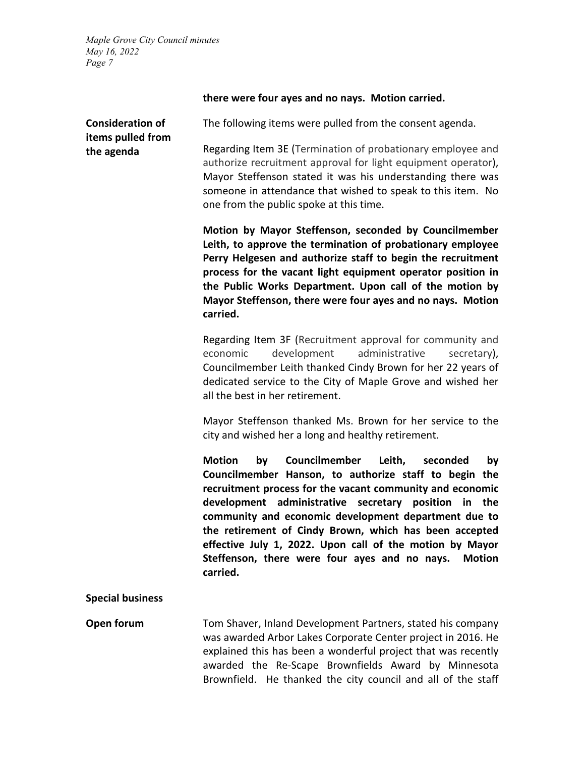# **there were four ayes and no nays. Motion carried.**

| <b>Consideration of</b><br>items pulled from | The following items were pulled from the consent agenda.                                                                                                                                                                                                                                                                                                                                                                                                                                                   |  |  |  |  |
|----------------------------------------------|------------------------------------------------------------------------------------------------------------------------------------------------------------------------------------------------------------------------------------------------------------------------------------------------------------------------------------------------------------------------------------------------------------------------------------------------------------------------------------------------------------|--|--|--|--|
| the agenda                                   | Regarding Item 3E (Termination of probationary employee and<br>authorize recruitment approval for light equipment operator),<br>Mayor Steffenson stated it was his understanding there was<br>someone in attendance that wished to speak to this item. No<br>one from the public spoke at this time.                                                                                                                                                                                                       |  |  |  |  |
|                                              | Motion by Mayor Steffenson, seconded by Councilmember<br>Leith, to approve the termination of probationary employee<br>Perry Helgesen and authorize staff to begin the recruitment<br>process for the vacant light equipment operator position in<br>the Public Works Department. Upon call of the motion by<br>Mayor Steffenson, there were four ayes and no nays. Motion<br>carried.                                                                                                                     |  |  |  |  |
|                                              | Regarding Item 3F (Recruitment approval for community and<br>administrative<br>development<br>secretary),<br>economic<br>Councilmember Leith thanked Cindy Brown for her 22 years of<br>dedicated service to the City of Maple Grove and wished her<br>all the best in her retirement.                                                                                                                                                                                                                     |  |  |  |  |
|                                              | Mayor Steffenson thanked Ms. Brown for her service to the<br>city and wished her a long and healthy retirement.                                                                                                                                                                                                                                                                                                                                                                                            |  |  |  |  |
|                                              | <b>Motion</b><br>Councilmember<br>by<br>Leith,<br>seconded<br>by<br>Councilmember Hanson, to authorize staff to begin the<br>recruitment process for the vacant community and economic<br>development administrative secretary position in the<br>community and economic development department due to<br>the retirement of Cindy Brown, which has been accepted<br>effective July 1, 2022. Upon call of the motion by Mayor<br>Steffenson, there were four ayes and no nays.<br><b>Motion</b><br>carried. |  |  |  |  |
| <b>Special business</b>                      |                                                                                                                                                                                                                                                                                                                                                                                                                                                                                                            |  |  |  |  |
| Open forum                                   | Tom Shaver, Inland Development Partners, stated his company<br>was awarded Arbor Lakes Corporate Center project in 2016. He<br>explained this has been a wonderful project that was recently<br>awarded the Re-Scape Brownfields Award by Minnesota<br>Brownfield. He thanked the city council and all of the staff                                                                                                                                                                                        |  |  |  |  |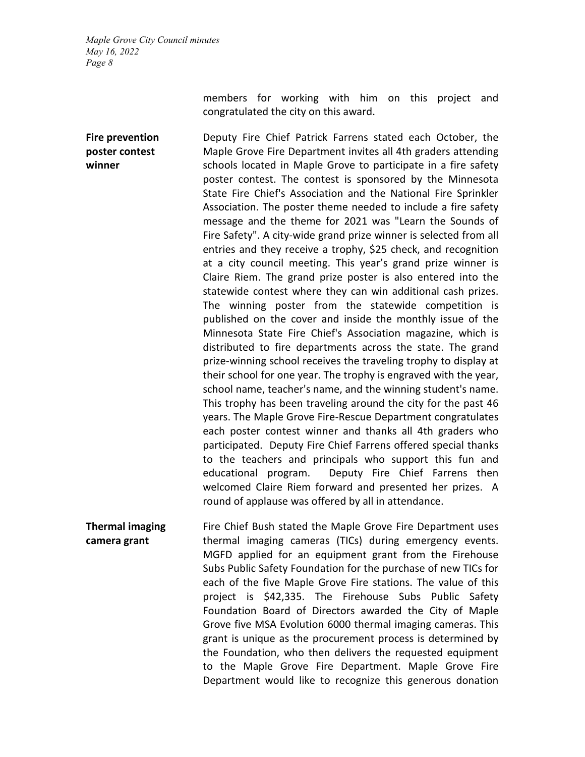> members for working with him on this project and congratulated the city on this award.

**Fire prevention poster contest winner** Deputy Fire Chief Patrick Farrens stated each October, the Maple Grove Fire Department invites all 4th graders attending schools located in Maple Grove to participate in a fire safety poster contest. The contest is sponsored by the Minnesota State Fire Chief's Association and the National Fire Sprinkler Association. The poster theme needed to include a fire safety message and the theme for 2021 was "Learn the Sounds of Fire Safety". A city-wide grand prize winner is selected from all entries and they receive a trophy, \$25 check, and recognition at a city council meeting. This year's grand prize winner is Claire Riem. The grand prize poster is also entered into the statewide contest where they can win additional cash prizes. The winning poster from the statewide competition is published on the cover and inside the monthly issue of the Minnesota State Fire Chief's Association magazine, which is distributed to fire departments across the state. The grand prize-winning school receives the traveling trophy to display at their school for one year. The trophy is engraved with the year, school name, teacher's name, and the winning student's name. This trophy has been traveling around the city for the past 46 years. The Maple Grove Fire-Rescue Department congratulates each poster contest winner and thanks all 4th graders who participated. Deputy Fire Chief Farrens offered special thanks to the teachers and principals who support this fun and educational program. Deputy Fire Chief Farrens then welcomed Claire Riem forward and presented her prizes. A round of applause was offered by all in attendance.

**Thermal imaging camera grant** Fire Chief Bush stated the Maple Grove Fire Department uses thermal imaging cameras (TICs) during emergency events. MGFD applied for an equipment grant from the Firehouse Subs Public Safety Foundation for the purchase of new TICs for each of the five Maple Grove Fire stations. The value of this project is \$42,335. The Firehouse Subs Public Safety Foundation Board of Directors awarded the City of Maple Grove five MSA Evolution 6000 thermal imaging cameras. This grant is unique as the procurement process is determined by the Foundation, who then delivers the requested equipment to the Maple Grove Fire Department. Maple Grove Fire Department would like to recognize this generous donation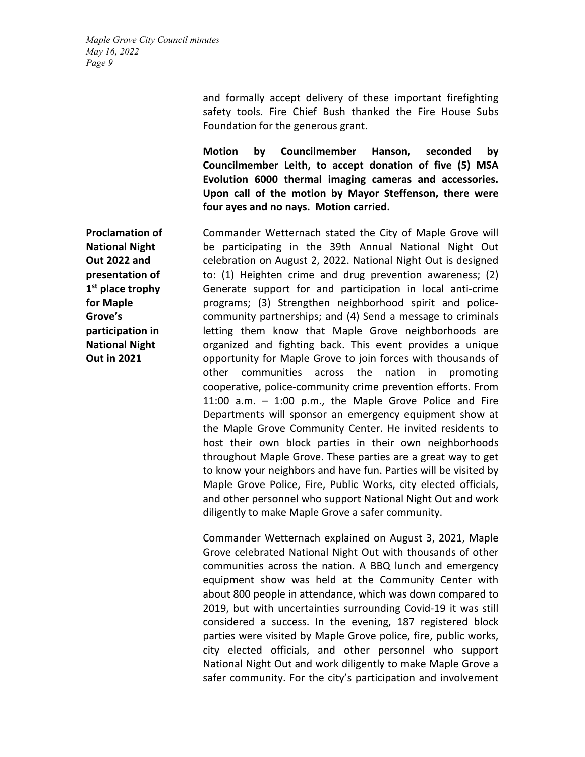> and formally accept delivery of these important firefighting safety tools. Fire Chief Bush thanked the Fire House Subs Foundation for the generous grant.

> **Motion by Councilmember Hanson, seconded by Councilmember Leith, to accept donation of five (5) MSA Evolution 6000 thermal imaging cameras and accessories. Upon call of the motion by Mayor Steffenson, there were four ayes and no nays. Motion carried.**

Commander Wetternach stated the City of Maple Grove will be participating in the 39th Annual National Night Out celebration on August 2, 2022. National Night Out is designed to: (1) Heighten crime and drug prevention awareness; (2) Generate support for and participation in local anti-crime programs; (3) Strengthen neighborhood spirit and policecommunity partnerships; and (4) Send a message to criminals letting them know that Maple Grove neighborhoods are organized and fighting back. This event provides a unique opportunity for Maple Grove to join forces with thousands of other communities across the nation in promoting cooperative, police-community crime prevention efforts. From 11:00 a.m. – 1:00 p.m., the Maple Grove Police and Fire Departments will sponsor an emergency equipment show at the Maple Grove Community Center. He invited residents to host their own block parties in their own neighborhoods throughout Maple Grove. These parties are a great way to get to know your neighbors and have fun. Parties will be visited by Maple Grove Police, Fire, Public Works, city elected officials, and other personnel who support National Night Out and work diligently to make Maple Grove a safer community.

Commander Wetternach explained on August 3, 2021, Maple Grove celebrated National Night Out with thousands of other communities across the nation. A BBQ lunch and emergency equipment show was held at the Community Center with about 800 people in attendance, which was down compared to 2019, but with uncertainties surrounding Covid-19 it was still considered a success. In the evening, 187 registered block parties were visited by Maple Grove police, fire, public works, city elected officials, and other personnel who support National Night Out and work diligently to make Maple Grove a safer community. For the city's participation and involvement

**Proclamation of National Night Out 2022 and presentation of 1st place trophy for Maple Grove's participation in National Night Out in 2021**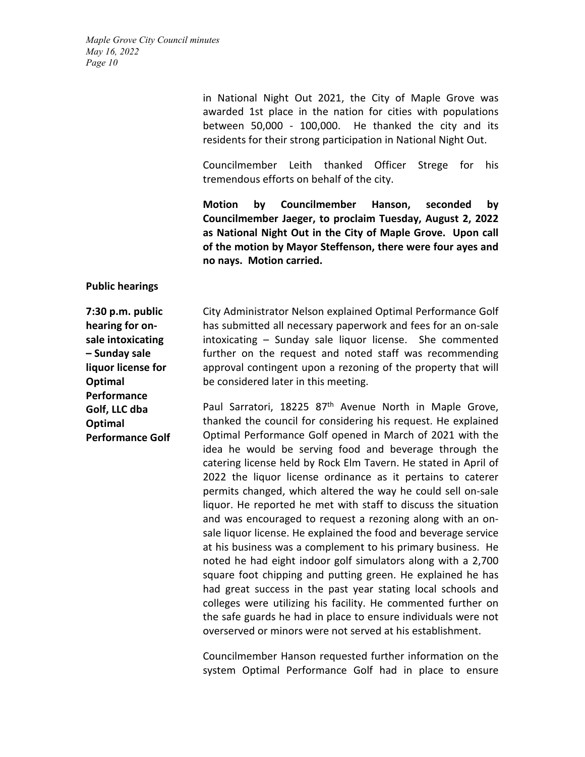in National Night Out 2021, the City of Maple Grove was awarded 1st place in the nation for cities with populations between 50,000 - 100,000. He thanked the city and its residents for their strong participation in National Night Out.

Councilmember Leith thanked Officer Strege for his tremendous efforts on behalf of the city.

**Motion by Councilmember Hanson, seconded by Councilmember Jaeger, to proclaim Tuesday, August 2, 2022 as National Night Out in the City of Maple Grove. Upon call of the motion by Mayor Steffenson, there were four ayes and no nays. Motion carried.**

#### **Public hearings**

**7:30 p.m. public hearing for onsale intoxicating – Sunday sale liquor license for Optimal Performance Golf, LLC dba Optimal Performance Golf** City Administrator Nelson explained Optimal Performance Golf has submitted all necessary paperwork and fees for an on-sale intoxicating – Sunday sale liquor license. She commented further on the request and noted staff was recommending approval contingent upon a rezoning of the property that will be considered later in this meeting.

Paul Sarratori, 18225  $87<sup>th</sup>$  Avenue North in Maple Grove, thanked the council for considering his request. He explained Optimal Performance Golf opened in March of 2021 with the idea he would be serving food and beverage through the catering license held by Rock Elm Tavern. He stated in April of 2022 the liquor license ordinance as it pertains to caterer permits changed, which altered the way he could sell on-sale liquor. He reported he met with staff to discuss the situation and was encouraged to request a rezoning along with an onsale liquor license. He explained the food and beverage service at his business was a complement to his primary business. He noted he had eight indoor golf simulators along with a 2,700 square foot chipping and putting green. He explained he has had great success in the past year stating local schools and colleges were utilizing his facility. He commented further on the safe guards he had in place to ensure individuals were not overserved or minors were not served at his establishment.

Councilmember Hanson requested further information on the system Optimal Performance Golf had in place to ensure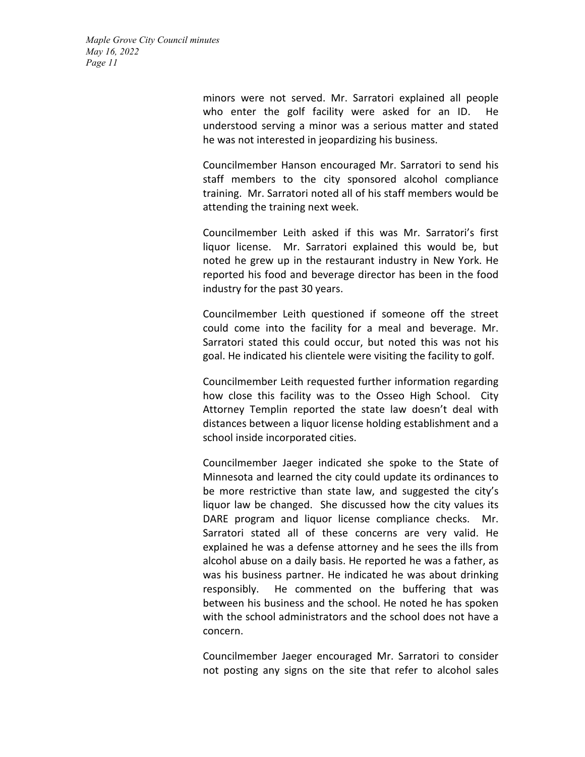> minors were not served. Mr. Sarratori explained all people who enter the golf facility were asked for an ID. He understood serving a minor was a serious matter and stated he was not interested in jeopardizing his business.

> Councilmember Hanson encouraged Mr. Sarratori to send his staff members to the city sponsored alcohol compliance training. Mr. Sarratori noted all of his staff members would be attending the training next week.

> Councilmember Leith asked if this was Mr. Sarratori's first liquor license. Mr. Sarratori explained this would be, but noted he grew up in the restaurant industry in New York. He reported his food and beverage director has been in the food industry for the past 30 years.

> Councilmember Leith questioned if someone off the street could come into the facility for a meal and beverage. Mr. Sarratori stated this could occur, but noted this was not his goal. He indicated his clientele were visiting the facility to golf.

> Councilmember Leith requested further information regarding how close this facility was to the Osseo High School. City Attorney Templin reported the state law doesn't deal with distances between a liquor license holding establishment and a school inside incorporated cities.

> Councilmember Jaeger indicated she spoke to the State of Minnesota and learned the city could update its ordinances to be more restrictive than state law, and suggested the city's liquor law be changed. She discussed how the city values its DARE program and liquor license compliance checks. Mr. Sarratori stated all of these concerns are very valid. He explained he was a defense attorney and he sees the ills from alcohol abuse on a daily basis. He reported he was a father, as was his business partner. He indicated he was about drinking responsibly. He commented on the buffering that was between his business and the school. He noted he has spoken with the school administrators and the school does not have a concern.

> Councilmember Jaeger encouraged Mr. Sarratori to consider not posting any signs on the site that refer to alcohol sales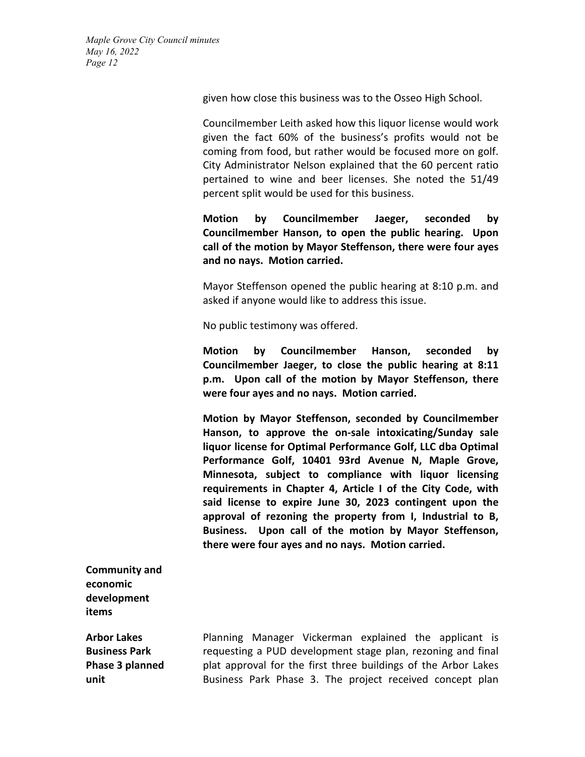given how close this business was to the Osseo High School.

Councilmember Leith asked how this liquor license would work given the fact 60% of the business's profits would not be coming from food, but rather would be focused more on golf. City Administrator Nelson explained that the 60 percent ratio pertained to wine and beer licenses. She noted the 51/49 percent split would be used for this business.

**Motion by Councilmember Jaeger, seconded by Councilmember Hanson, to open the public hearing. Upon call of the motion by Mayor Steffenson, there were four ayes and no nays. Motion carried.**

Mayor Steffenson opened the public hearing at 8:10 p.m. and asked if anyone would like to address this issue.

No public testimony was offered.

**Motion by Councilmember Hanson, seconded by Councilmember Jaeger, to close the public hearing at 8:11 p.m. Upon call of the motion by Mayor Steffenson, there were four ayes and no nays. Motion carried.**

**Motion by Mayor Steffenson, seconded by Councilmember Hanson, to approve the on-sale intoxicating/Sunday sale liquor license for Optimal Performance Golf, LLC dba Optimal Performance Golf, 10401 93rd Avenue N, Maple Grove, Minnesota, subject to compliance with liquor licensing requirements in Chapter 4, Article I of the City Code, with said license to expire June 30, 2023 contingent upon the approval of rezoning the property from I, Industrial to B, Business. Upon call of the motion by Mayor Steffenson, there were four ayes and no nays. Motion carried.**

**Community and economic development items**

**Arbor Lakes Business Park Phase 3 planned unit** 

Planning Manager Vickerman explained the applicant is requesting a PUD development stage plan, rezoning and final plat approval for the first three buildings of the Arbor Lakes Business Park Phase 3. The project received concept plan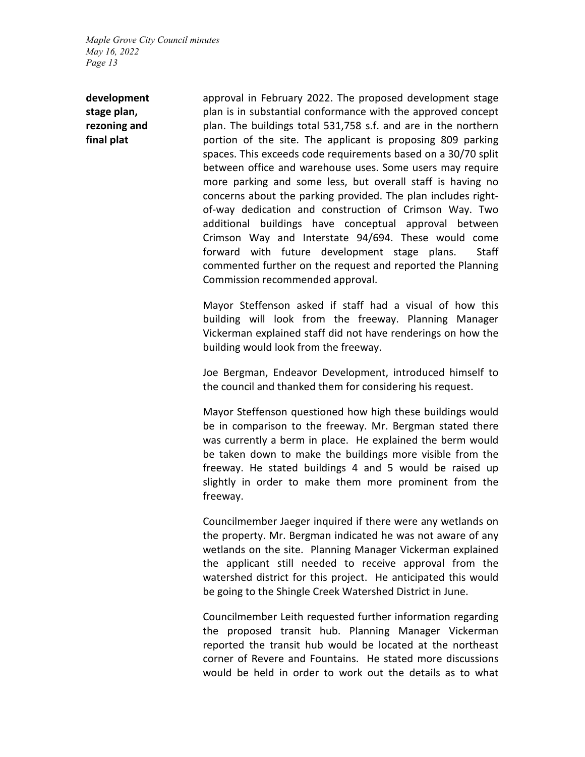**development stage plan, rezoning and final plat** 

approval in February 2022. The proposed development stage plan is in substantial conformance with the approved concept plan. The buildings total 531,758 s.f. and are in the northern portion of the site. The applicant is proposing 809 parking spaces. This exceeds code requirements based on a 30/70 split between office and warehouse uses. Some users may require more parking and some less, but overall staff is having no concerns about the parking provided. The plan includes rightof-way dedication and construction of Crimson Way. Two additional buildings have conceptual approval between Crimson Way and Interstate 94/694. These would come forward with future development stage plans. Staff commented further on the request and reported the Planning Commission recommended approval.

Mayor Steffenson asked if staff had a visual of how this building will look from the freeway. Planning Manager Vickerman explained staff did not have renderings on how the building would look from the freeway.

Joe Bergman, Endeavor Development, introduced himself to the council and thanked them for considering his request.

Mayor Steffenson questioned how high these buildings would be in comparison to the freeway. Mr. Bergman stated there was currently a berm in place. He explained the berm would be taken down to make the buildings more visible from the freeway. He stated buildings 4 and 5 would be raised up slightly in order to make them more prominent from the freeway.

Councilmember Jaeger inquired if there were any wetlands on the property. Mr. Bergman indicated he was not aware of any wetlands on the site. Planning Manager Vickerman explained the applicant still needed to receive approval from the watershed district for this project. He anticipated this would be going to the Shingle Creek Watershed District in June.

Councilmember Leith requested further information regarding the proposed transit hub. Planning Manager Vickerman reported the transit hub would be located at the northeast corner of Revere and Fountains. He stated more discussions would be held in order to work out the details as to what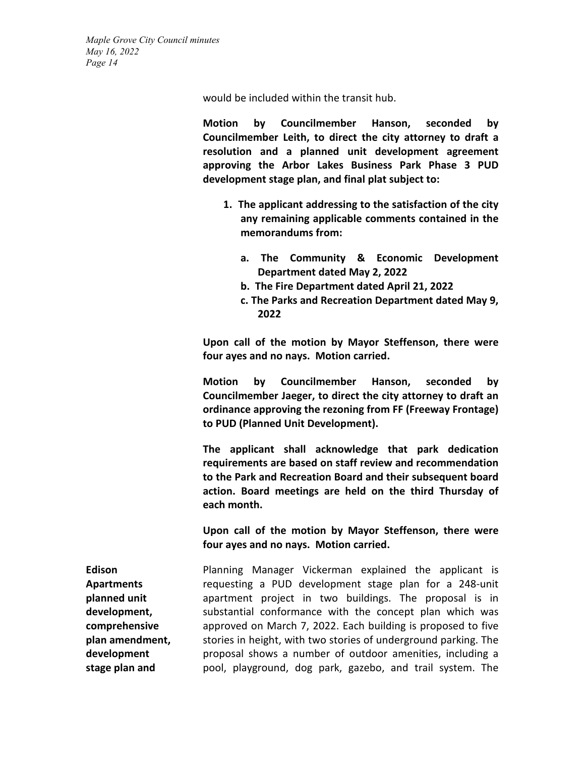would be included within the transit hub.

**Motion by Councilmember Hanson, seconded by Councilmember Leith, to direct the city attorney to draft a resolution and a planned unit development agreement approving the Arbor Lakes Business Park Phase 3 PUD development stage plan, and final plat subject to:** 

- **1. The applicant addressing to the satisfaction of the city any remaining applicable comments contained in the memorandums from:** 
	- **a. The Community & Economic Development Department dated May 2, 2022**
	- **b. The Fire Department dated April 21, 2022**
	- **c. The Parks and Recreation Department dated May 9, 2022**

**Upon call of the motion by Mayor Steffenson, there were four ayes and no nays. Motion carried.**

**Motion by Councilmember Hanson, seconded by Councilmember Jaeger, to direct the city attorney to draft an ordinance approving the rezoning from FF (Freeway Frontage) to PUD (Planned Unit Development).** 

**The applicant shall acknowledge that park dedication requirements are based on staff review and recommendation to the Park and Recreation Board and their subsequent board action. Board meetings are held on the third Thursday of each month.**

**Upon call of the motion by Mayor Steffenson, there were four ayes and no nays. Motion carried.**

**Edison Apartments planned unit development, comprehensive plan amendment, development stage plan and**  Planning Manager Vickerman explained the applicant is requesting a PUD development stage plan for a 248-unit apartment project in two buildings. The proposal is in substantial conformance with the concept plan which was approved on March 7, 2022. Each building is proposed to five stories in height, with two stories of underground parking. The proposal shows a number of outdoor amenities, including a pool, playground, dog park, gazebo, and trail system. The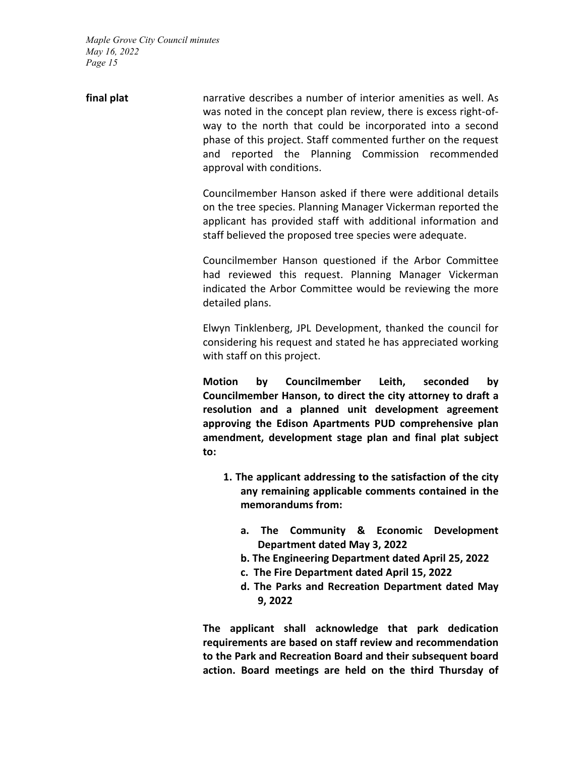| final plat |                           |  | narrative describes a number of interior amenities as well. As<br>was noted in the concept plan review, there is excess right-of-<br>way to the north that could be incorporated into a second<br>phase of this project. Staff commented further on the request |
|------------|---------------------------|--|-----------------------------------------------------------------------------------------------------------------------------------------------------------------------------------------------------------------------------------------------------------------|
|            | approval with conditions. |  | and reported the Planning Commission recommended                                                                                                                                                                                                                |

Councilmember Hanson asked if there were additional details on the tree species. Planning Manager Vickerman reported the applicant has provided staff with additional information and staff believed the proposed tree species were adequate.

Councilmember Hanson questioned if the Arbor Committee had reviewed this request. Planning Manager Vickerman indicated the Arbor Committee would be reviewing the more detailed plans.

Elwyn Tinklenberg, JPL Development, thanked the council for considering his request and stated he has appreciated working with staff on this project.

**Motion by Councilmember Leith, seconded by Councilmember Hanson, to direct the city attorney to draft a resolution and a planned unit development agreement approving the Edison Apartments PUD comprehensive plan amendment, development stage plan and final plat subject to:** 

- **1. The applicant addressing to the satisfaction of the city any remaining applicable comments contained in the memorandums from:** 
	- **a. The Community & Economic Development Department dated May 3, 2022**
	- **b. The Engineering Department dated April 25, 2022**
	- **c. The Fire Department dated April 15, 2022**
	- **d. The Parks and Recreation Department dated May 9, 2022**

**The applicant shall acknowledge that park dedication requirements are based on staff review and recommendation to the Park and Recreation Board and their subsequent board action. Board meetings are held on the third Thursday of**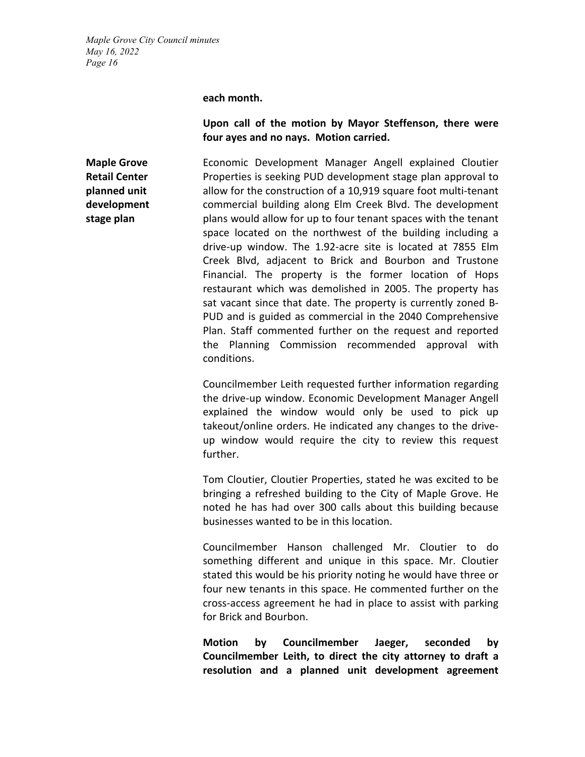**each month.**

# **Upon call of the motion by Mayor Steffenson, there were four ayes and no nays. Motion carried.**

**Maple Grove Retail Center planned unit development stage plan**

Economic Development Manager Angell explained Cloutier Properties is seeking PUD development stage plan approval to allow for the construction of a 10,919 square foot multi-tenant commercial building along Elm Creek Blvd. The development plans would allow for up to four tenant spaces with the tenant space located on the northwest of the building including a drive-up window. The 1.92-acre site is located at 7855 Elm Creek Blvd, adjacent to Brick and Bourbon and Trustone Financial. The property is the former location of Hops restaurant which was demolished in 2005. The property has sat vacant since that date. The property is currently zoned B-PUD and is guided as commercial in the 2040 Comprehensive Plan. Staff commented further on the request and reported the Planning Commission recommended approval with conditions.

Councilmember Leith requested further information regarding the drive-up window. Economic Development Manager Angell explained the window would only be used to pick up takeout/online orders. He indicated any changes to the driveup window would require the city to review this request further.

Tom Cloutier, Cloutier Properties, stated he was excited to be bringing a refreshed building to the City of Maple Grove. He noted he has had over 300 calls about this building because businesses wanted to be in this location.

Councilmember Hanson challenged Mr. Cloutier to do something different and unique in this space. Mr. Cloutier stated this would be his priority noting he would have three or four new tenants in this space. He commented further on the cross-access agreement he had in place to assist with parking for Brick and Bourbon.

**Motion by Councilmember Jaeger, seconded by Councilmember Leith, to direct the city attorney to draft a resolution and a planned unit development agreement**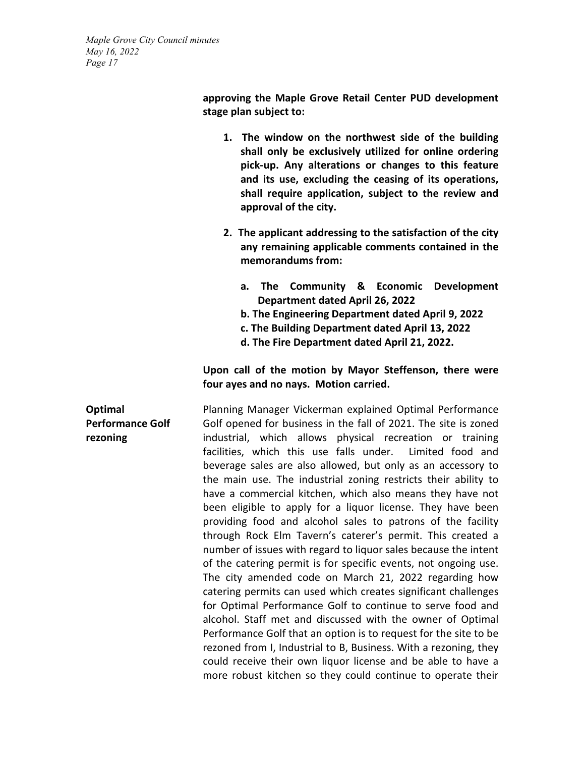> **approving the Maple Grove Retail Center PUD development stage plan subject to:**

- **1. The window on the northwest side of the building shall only be exclusively utilized for online ordering pick-up. Any alterations or changes to this feature and its use, excluding the ceasing of its operations, shall require application, subject to the review and approval of the city.**
- **2. The applicant addressing to the satisfaction of the city any remaining applicable comments contained in the memorandums from:** 
	- **a. The Community & Economic Development Department dated April 26, 2022**
	- **b. The Engineering Department dated April 9, 2022**
	- **c. The Building Department dated April 13, 2022**
	- **d. The Fire Department dated April 21, 2022.**

# **Upon call of the motion by Mayor Steffenson, there were four ayes and no nays. Motion carried.**

**Optimal Performance Golf rezoning** Planning Manager Vickerman explained Optimal Performance Golf opened for business in the fall of 2021. The site is zoned industrial, which allows physical recreation or training facilities, which this use falls under. Limited food and beverage sales are also allowed, but only as an accessory to the main use. The industrial zoning restricts their ability to have a commercial kitchen, which also means they have not been eligible to apply for a liquor license. They have been providing food and alcohol sales to patrons of the facility through Rock Elm Tavern's caterer's permit. This created a number of issues with regard to liquor sales because the intent of the catering permit is for specific events, not ongoing use. The city amended code on March 21, 2022 regarding how catering permits can used which creates significant challenges for Optimal Performance Golf to continue to serve food and alcohol. Staff met and discussed with the owner of Optimal Performance Golf that an option is to request for the site to be rezoned from I, Industrial to B, Business. With a rezoning, they could receive their own liquor license and be able to have a more robust kitchen so they could continue to operate their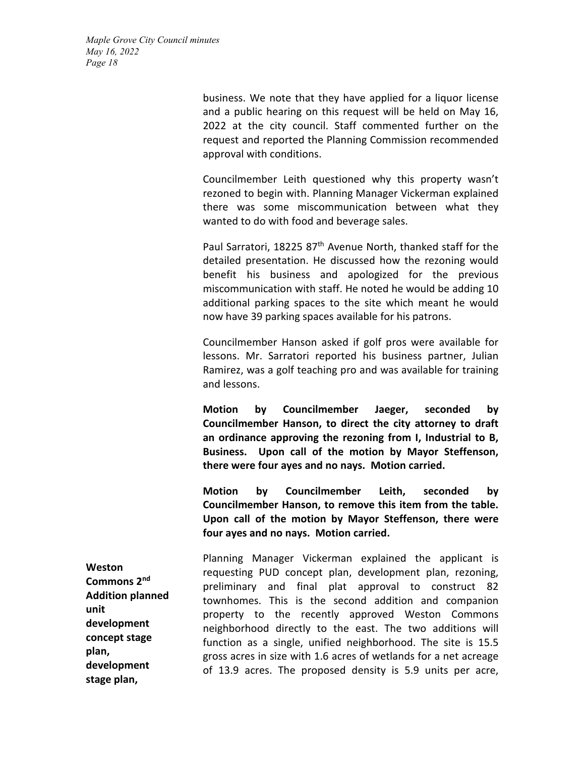> business. We note that they have applied for a liquor license and a public hearing on this request will be held on May 16, 2022 at the city council. Staff commented further on the request and reported the Planning Commission recommended approval with conditions.

> Councilmember Leith questioned why this property wasn't rezoned to begin with. Planning Manager Vickerman explained there was some miscommunication between what they wanted to do with food and beverage sales.

> Paul Sarratori, 18225 87<sup>th</sup> Avenue North, thanked staff for the detailed presentation. He discussed how the rezoning would benefit his business and apologized for the previous miscommunication with staff. He noted he would be adding 10 additional parking spaces to the site which meant he would now have 39 parking spaces available for his patrons.

> Councilmember Hanson asked if golf pros were available for lessons. Mr. Sarratori reported his business partner, Julian Ramirez, was a golf teaching pro and was available for training and lessons.

> **Motion by Councilmember Jaeger, seconded by Councilmember Hanson, to direct the city attorney to draft an ordinance approving the rezoning from I, Industrial to B, Business. Upon call of the motion by Mayor Steffenson, there were four ayes and no nays. Motion carried.**

> **Motion by Councilmember Leith, seconded by Councilmember Hanson, to remove this item from the table. Upon call of the motion by Mayor Steffenson, there were four ayes and no nays. Motion carried.**

**Weston Commons 2nd Addition planned unit development concept stage plan, development stage plan,**  Planning Manager Vickerman explained the applicant is requesting PUD concept plan, development plan, rezoning, preliminary and final plat approval to construct 82 townhomes. This is the second addition and companion property to the recently approved Weston Commons neighborhood directly to the east. The two additions will function as a single, unified neighborhood. The site is 15.5 gross acres in size with 1.6 acres of wetlands for a net acreage of 13.9 acres. The proposed density is 5.9 units per acre,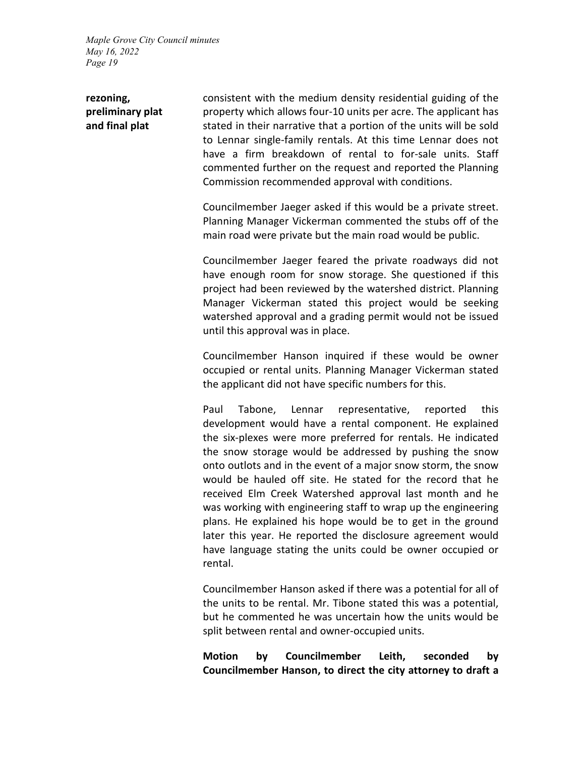# **rezoning, preliminary plat and final plat**

consistent with the medium density residential guiding of the property which allows four-10 units per acre. The applicant has stated in their narrative that a portion of the units will be sold to Lennar single-family rentals. At this time Lennar does not have a firm breakdown of rental to for-sale units. Staff commented further on the request and reported the Planning Commission recommended approval with conditions.

Councilmember Jaeger asked if this would be a private street. Planning Manager Vickerman commented the stubs off of the main road were private but the main road would be public.

Councilmember Jaeger feared the private roadways did not have enough room for snow storage. She questioned if this project had been reviewed by the watershed district. Planning Manager Vickerman stated this project would be seeking watershed approval and a grading permit would not be issued until this approval was in place.

Councilmember Hanson inquired if these would be owner occupied or rental units. Planning Manager Vickerman stated the applicant did not have specific numbers for this.

Paul Tabone, Lennar representative, reported this development would have a rental component. He explained the six-plexes were more preferred for rentals. He indicated the snow storage would be addressed by pushing the snow onto outlots and in the event of a major snow storm, the snow would be hauled off site. He stated for the record that he received Elm Creek Watershed approval last month and he was working with engineering staff to wrap up the engineering plans. He explained his hope would be to get in the ground later this year. He reported the disclosure agreement would have language stating the units could be owner occupied or rental.

Councilmember Hanson asked if there was a potential for all of the units to be rental. Mr. Tibone stated this was a potential, but he commented he was uncertain how the units would be split between rental and owner-occupied units.

**Motion by Councilmember Leith, seconded by Councilmember Hanson, to direct the city attorney to draft a**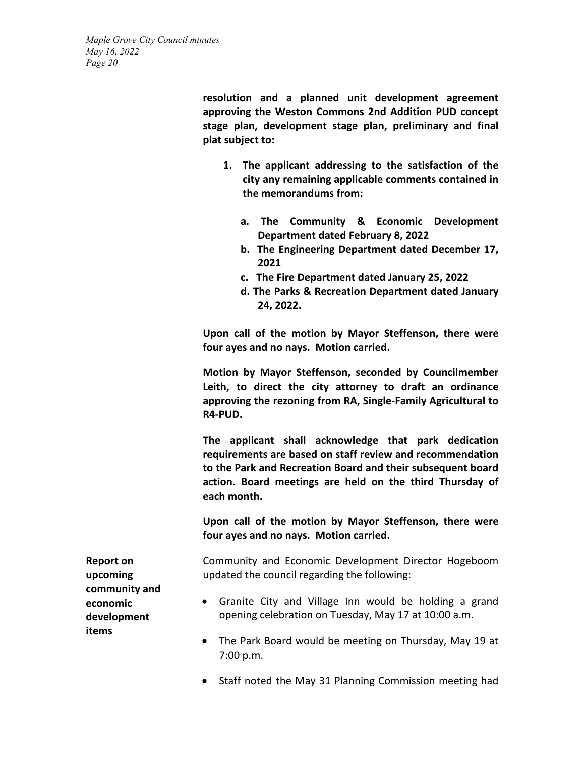> **resolution and a planned unit development agreement approving the Weston Commons 2nd Addition PUD concept stage plan, development stage plan, preliminary and final plat subject to:**

- **1. The applicant addressing to the satisfaction of the city any remaining applicable comments contained in the memorandums from:** 
	- **a. The Community & Economic Development Department dated February 8, 2022**
	- **b. The Engineering Department dated December 17, 2021**
	- **c. The Fire Department dated January 25, 2022**
	- **d. The Parks & Recreation Department dated January 24, 2022.**

**Upon call of the motion by Mayor Steffenson, there were four ayes and no nays. Motion carried.**

**Motion by Mayor Steffenson, seconded by Councilmember Leith, to direct the city attorney to draft an ordinance approving the rezoning from RA, Single-Family Agricultural to R4-PUD.** 

**The applicant shall acknowledge that park dedication requirements are based on staff review and recommendation to the Park and Recreation Board and their subsequent board action. Board meetings are held on the third Thursday of each month.** 

**Upon call of the motion by Mayor Steffenson, there were four ayes and no nays. Motion carried.**

Community and Economic Development Director Hogeboom updated the council regarding the following:

- Granite City and Village Inn would be holding a grand opening celebration on Tuesday, May 17 at 10:00 a.m.
- The Park Board would be meeting on Thursday, May 19 at 7:00 p.m.
- Staff noted the May 31 Planning Commission meeting had

**Report on upcoming community and economic development items**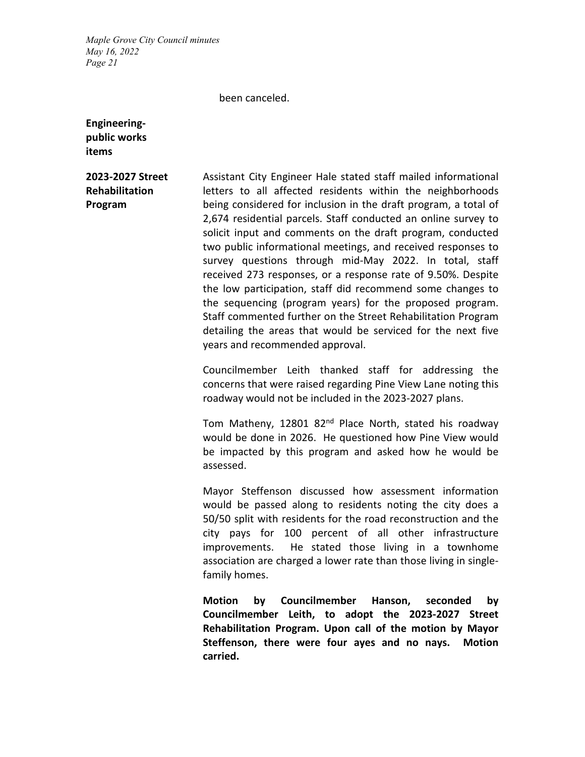#### been canceled.

**Engineeringpublic works items**

# **2023-2027 Street Rehabilitation Program**

Assistant City Engineer Hale stated staff mailed informational letters to all affected residents within the neighborhoods being considered for inclusion in the draft program, a total of 2,674 residential parcels. Staff conducted an online survey to solicit input and comments on the draft program, conducted two public informational meetings, and received responses to survey questions through mid-May 2022. In total, staff received 273 responses, or a response rate of 9.50%. Despite the low participation, staff did recommend some changes to the sequencing (program years) for the proposed program. Staff commented further on the Street Rehabilitation Program detailing the areas that would be serviced for the next five years and recommended approval.

Councilmember Leith thanked staff for addressing the concerns that were raised regarding Pine View Lane noting this roadway would not be included in the 2023-2027 plans.

Tom Matheny, 12801 82 $^{nd}$  Place North, stated his roadway would be done in 2026. He questioned how Pine View would be impacted by this program and asked how he would be assessed.

Mayor Steffenson discussed how assessment information would be passed along to residents noting the city does a 50/50 split with residents for the road reconstruction and the city pays for 100 percent of all other infrastructure improvements. He stated those living in a townhome association are charged a lower rate than those living in singlefamily homes.

**Motion by Councilmember Hanson, seconded by Councilmember Leith, to adopt the 2023-2027 Street Rehabilitation Program. Upon call of the motion by Mayor Steffenson, there were four ayes and no nays. Motion carried.**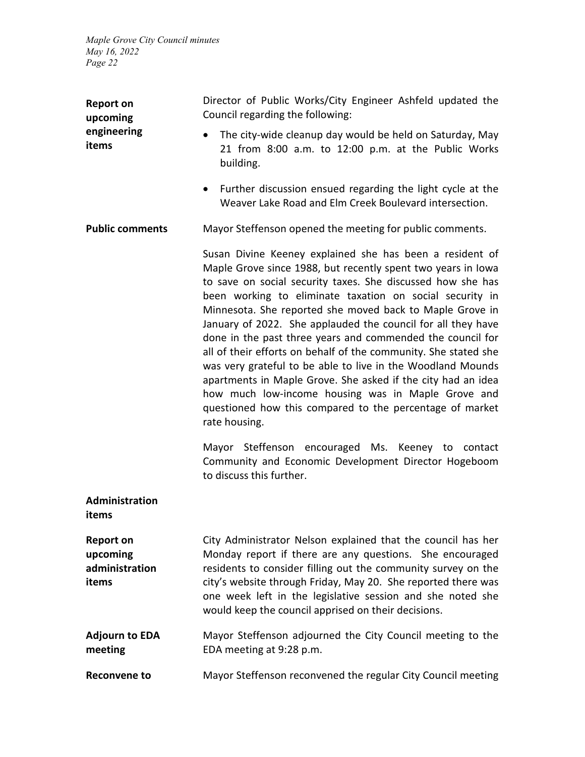| <b>Report on</b><br>upcoming<br>engineering<br>items    | Director of Public Works/City Engineer Ashfeld updated the<br>Council regarding the following:                                                                                                                                                                                                                                                                                                                                                                                                                                                                                                                                                                                                                                                                                                                                          |  |  |  |  |
|---------------------------------------------------------|-----------------------------------------------------------------------------------------------------------------------------------------------------------------------------------------------------------------------------------------------------------------------------------------------------------------------------------------------------------------------------------------------------------------------------------------------------------------------------------------------------------------------------------------------------------------------------------------------------------------------------------------------------------------------------------------------------------------------------------------------------------------------------------------------------------------------------------------|--|--|--|--|
|                                                         | The city-wide cleanup day would be held on Saturday, May<br>$\bullet$<br>21 from 8:00 a.m. to 12:00 p.m. at the Public Works<br>building.                                                                                                                                                                                                                                                                                                                                                                                                                                                                                                                                                                                                                                                                                               |  |  |  |  |
|                                                         | Further discussion ensued regarding the light cycle at the<br>$\bullet$<br>Weaver Lake Road and Elm Creek Boulevard intersection.                                                                                                                                                                                                                                                                                                                                                                                                                                                                                                                                                                                                                                                                                                       |  |  |  |  |
| <b>Public comments</b>                                  | Mayor Steffenson opened the meeting for public comments.                                                                                                                                                                                                                                                                                                                                                                                                                                                                                                                                                                                                                                                                                                                                                                                |  |  |  |  |
|                                                         | Susan Divine Keeney explained she has been a resident of<br>Maple Grove since 1988, but recently spent two years in lowa<br>to save on social security taxes. She discussed how she has<br>been working to eliminate taxation on social security in<br>Minnesota. She reported she moved back to Maple Grove in<br>January of 2022. She applauded the council for all they have<br>done in the past three years and commended the council for<br>all of their efforts on behalf of the community. She stated she<br>was very grateful to be able to live in the Woodland Mounds<br>apartments in Maple Grove. She asked if the city had an idea<br>how much low-income housing was in Maple Grove and<br>questioned how this compared to the percentage of market<br>rate housing.<br>Mayor Steffenson encouraged Ms. Keeney to contact |  |  |  |  |
|                                                         | Community and Economic Development Director Hogeboom<br>to discuss this further.                                                                                                                                                                                                                                                                                                                                                                                                                                                                                                                                                                                                                                                                                                                                                        |  |  |  |  |
| Administration<br>items                                 |                                                                                                                                                                                                                                                                                                                                                                                                                                                                                                                                                                                                                                                                                                                                                                                                                                         |  |  |  |  |
| <b>Report on</b><br>upcoming<br>administration<br>items | City Administrator Nelson explained that the council has her<br>Monday report if there are any questions. She encouraged<br>residents to consider filling out the community survey on the<br>city's website through Friday, May 20. She reported there was<br>one week left in the legislative session and she noted she<br>would keep the council apprised on their decisions.                                                                                                                                                                                                                                                                                                                                                                                                                                                         |  |  |  |  |
| <b>Adjourn to EDA</b><br>meeting                        | Mayor Steffenson adjourned the City Council meeting to the<br>EDA meeting at 9:28 p.m.                                                                                                                                                                                                                                                                                                                                                                                                                                                                                                                                                                                                                                                                                                                                                  |  |  |  |  |
| <b>Reconvene to</b>                                     | Mayor Steffenson reconvened the regular City Council meeting                                                                                                                                                                                                                                                                                                                                                                                                                                                                                                                                                                                                                                                                                                                                                                            |  |  |  |  |